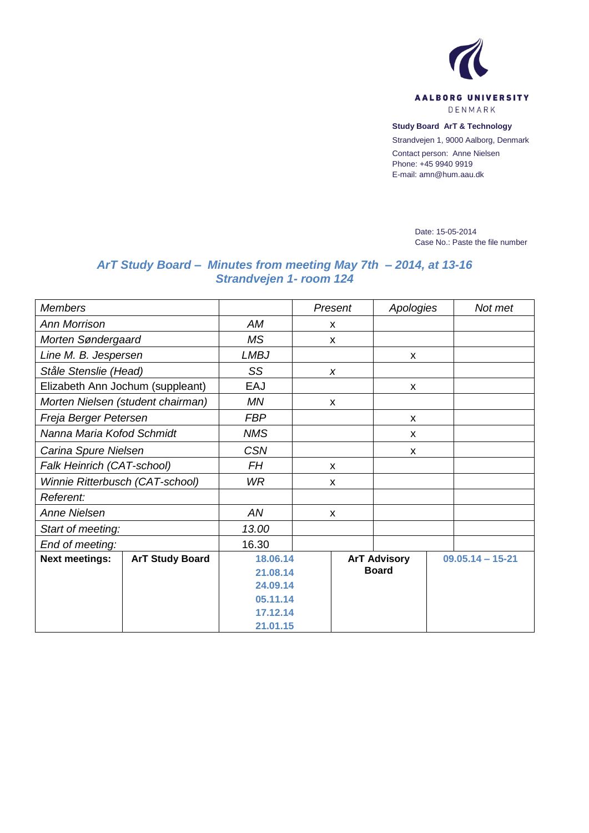

**Study Board ArT & Technology**

Strandvejen 1, 9000 Aalborg, Denmark

Contact person: Anne Nielsen Phone: +45 9940 9919 E-mail: amn@hum.aau.dk

> Date: 15-05-2014 Case No.: Paste the file number

## *ArT Study Board – Minutes from meeting May 7th – 2014, at 13-16 Strandvejen 1- room 124*

| <b>Members</b>                   |                                   |             | Present                   | Apologies                 |  | Not met              |  |
|----------------------------------|-----------------------------------|-------------|---------------------------|---------------------------|--|----------------------|--|
| <b>Ann Morrison</b>              |                                   | AM          | X                         |                           |  |                      |  |
| Morten Søndergaard               |                                   | <b>MS</b>   | X                         |                           |  |                      |  |
| Line M. B. Jespersen             |                                   | <b>LMBJ</b> |                           | $\mathsf{x}$              |  |                      |  |
| Ståle Stenslie (Head)            |                                   | SS          | X                         |                           |  |                      |  |
| Elizabeth Ann Jochum (suppleant) |                                   | EAJ         |                           | X                         |  |                      |  |
|                                  | Morten Nielsen (student chairman) | MN          | X                         |                           |  |                      |  |
| Freja Berger Petersen            |                                   | <b>FBP</b>  |                           | $\boldsymbol{\mathsf{x}}$ |  |                      |  |
| Nanna Maria Kofod Schmidt        |                                   | <b>NMS</b>  |                           | X                         |  |                      |  |
| Carina Spure Nielsen             |                                   | <b>CSN</b>  |                           | X                         |  |                      |  |
| Falk Heinrich (CAT-school)       |                                   | FH          | X                         |                           |  |                      |  |
| Winnie Ritterbusch (CAT-school)  |                                   | WR.         | $\boldsymbol{\mathsf{x}}$ |                           |  |                      |  |
| Referent:                        |                                   |             |                           |                           |  |                      |  |
| <b>Anne Nielsen</b>              |                                   | AN          | X                         |                           |  |                      |  |
| Start of meeting:                |                                   | 13.00       |                           |                           |  |                      |  |
| End of meeting:                  |                                   | 16.30       |                           |                           |  |                      |  |
| <b>Next meetings:</b>            | <b>ArT Study Board</b>            | 18.06.14    |                           | <b>ArT Advisory</b>       |  | $09.05.14 - 15 - 21$ |  |
|                                  |                                   | 21.08.14    |                           | <b>Board</b>              |  |                      |  |
|                                  |                                   | 24.09.14    |                           |                           |  |                      |  |
|                                  |                                   | 05.11.14    |                           |                           |  |                      |  |
|                                  |                                   | 17.12.14    |                           |                           |  |                      |  |
|                                  |                                   | 21.01.15    |                           |                           |  |                      |  |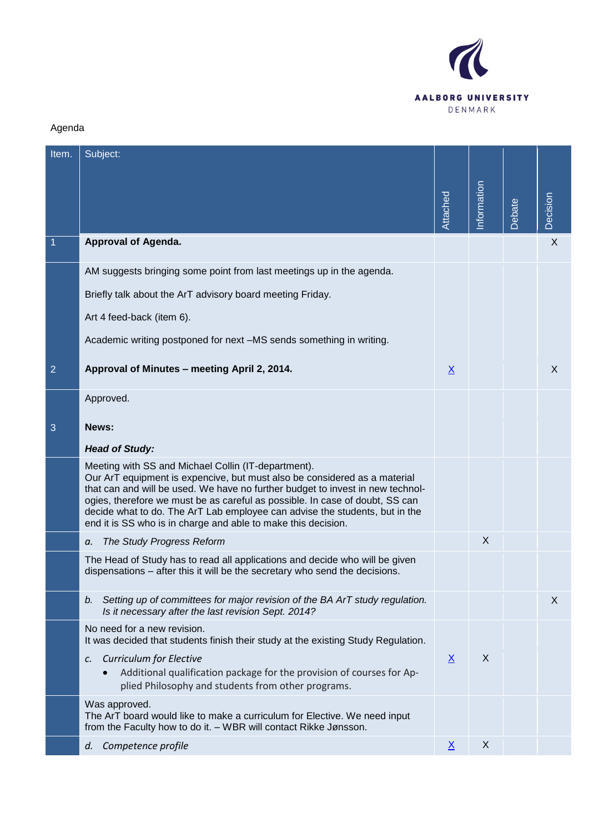

## Agenda

| Item.          | Subject:                                                                                                                                                                                                                                                                                                                                                                                                                                           |                 |             |        |                 |
|----------------|----------------------------------------------------------------------------------------------------------------------------------------------------------------------------------------------------------------------------------------------------------------------------------------------------------------------------------------------------------------------------------------------------------------------------------------------------|-----------------|-------------|--------|-----------------|
|                |                                                                                                                                                                                                                                                                                                                                                                                                                                                    |                 |             |        |                 |
|                |                                                                                                                                                                                                                                                                                                                                                                                                                                                    | Attached        | Information | Debate | <b>Decision</b> |
| -1             | <b>Approval of Agenda.</b>                                                                                                                                                                                                                                                                                                                                                                                                                         |                 |             |        | $\times$        |
|                | AM suggests bringing some point from last meetings up in the agenda.                                                                                                                                                                                                                                                                                                                                                                               |                 |             |        |                 |
|                | Briefly talk about the ArT advisory board meeting Friday.                                                                                                                                                                                                                                                                                                                                                                                          |                 |             |        |                 |
|                | Art 4 feed-back (item 6).                                                                                                                                                                                                                                                                                                                                                                                                                          |                 |             |        |                 |
|                | Academic writing postponed for next -MS sends something in writing.                                                                                                                                                                                                                                                                                                                                                                                |                 |             |        |                 |
| $\overline{2}$ | Approval of Minutes - meeting April 2, 2014.                                                                                                                                                                                                                                                                                                                                                                                                       | $\underline{X}$ |             |        | X               |
|                | Approved.                                                                                                                                                                                                                                                                                                                                                                                                                                          |                 |             |        |                 |
| 3              | News:                                                                                                                                                                                                                                                                                                                                                                                                                                              |                 |             |        |                 |
|                | <b>Head of Study:</b>                                                                                                                                                                                                                                                                                                                                                                                                                              |                 |             |        |                 |
|                | Meeting with SS and Michael Collin (IT-department).<br>Our ArT equipment is expencive, but must also be considered as a material<br>that can and will be used. We have no further budget to invest in new technol-<br>ogies, therefore we must be as careful as possible. In case of doubt, SS can<br>decide what to do. The ArT Lab employee can advise the students, but in the<br>end it is SS who is in charge and able to make this decision. |                 |             |        |                 |
|                | The Study Progress Reform<br>а.                                                                                                                                                                                                                                                                                                                                                                                                                    |                 | X           |        |                 |
|                | The Head of Study has to read all applications and decide who will be given<br>dispensations - after this it will be the secretary who send the decisions.                                                                                                                                                                                                                                                                                         |                 |             |        |                 |
|                | Setting up of committees for major revision of the BA ArT study regulation.<br>b.<br>Is it necessary after the last revision Sept. 2014?                                                                                                                                                                                                                                                                                                           |                 |             |        | X               |
|                | No need for a new revision.<br>It was decided that students finish their study at the existing Study Regulation.                                                                                                                                                                                                                                                                                                                                   |                 |             |        |                 |
|                | <b>Curriculum for Elective</b><br>c.<br>Additional qualification package for the provision of courses for Ap-<br>$\bullet$<br>plied Philosophy and students from other programs.                                                                                                                                                                                                                                                                   | $\underline{X}$ | X           |        |                 |
|                | Was approved.<br>The ArT board would like to make a curriculum for Elective. We need input<br>from the Faculty how to do it. - WBR will contact Rikke Jønsson.                                                                                                                                                                                                                                                                                     |                 |             |        |                 |
|                | Competence profile<br>d.                                                                                                                                                                                                                                                                                                                                                                                                                           | $\underline{X}$ | X           |        |                 |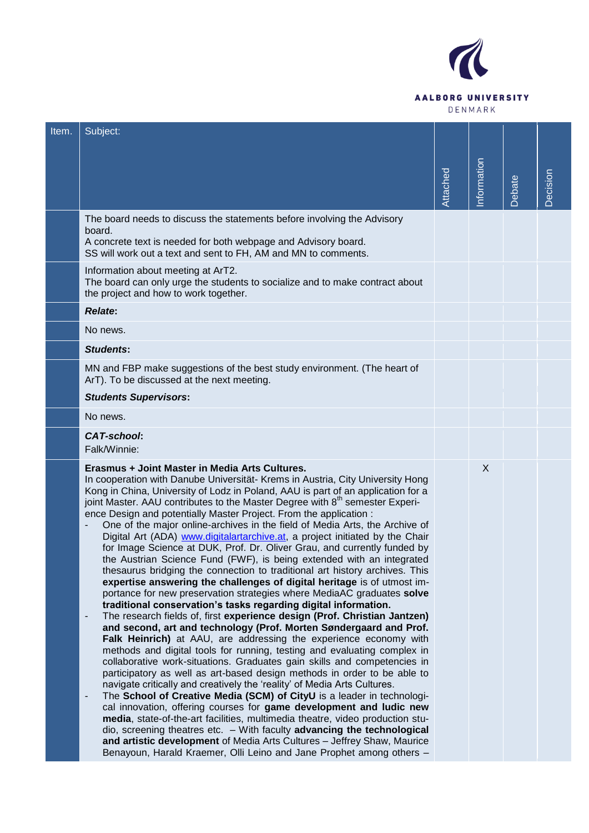

| Item. | Subject:                                                                                                                                                                                                                                                                                                                                                                                                                                                                                                                                                                                                                                                                                                                                                                                                                                                                                                                                                                                                                                                                                                                                                                                                                                                                                                                                                                                                                                                                                                                                                                                                                                                                                                                                                                                                                                                                                                                                                                                                                                                                                                      |          |             |        |          |
|-------|---------------------------------------------------------------------------------------------------------------------------------------------------------------------------------------------------------------------------------------------------------------------------------------------------------------------------------------------------------------------------------------------------------------------------------------------------------------------------------------------------------------------------------------------------------------------------------------------------------------------------------------------------------------------------------------------------------------------------------------------------------------------------------------------------------------------------------------------------------------------------------------------------------------------------------------------------------------------------------------------------------------------------------------------------------------------------------------------------------------------------------------------------------------------------------------------------------------------------------------------------------------------------------------------------------------------------------------------------------------------------------------------------------------------------------------------------------------------------------------------------------------------------------------------------------------------------------------------------------------------------------------------------------------------------------------------------------------------------------------------------------------------------------------------------------------------------------------------------------------------------------------------------------------------------------------------------------------------------------------------------------------------------------------------------------------------------------------------------------------|----------|-------------|--------|----------|
|       |                                                                                                                                                                                                                                                                                                                                                                                                                                                                                                                                                                                                                                                                                                                                                                                                                                                                                                                                                                                                                                                                                                                                                                                                                                                                                                                                                                                                                                                                                                                                                                                                                                                                                                                                                                                                                                                                                                                                                                                                                                                                                                               | Attached | Information | Debate | Decision |
|       | The board needs to discuss the statements before involving the Advisory<br>board.<br>A concrete text is needed for both webpage and Advisory board.<br>SS will work out a text and sent to FH, AM and MN to comments.                                                                                                                                                                                                                                                                                                                                                                                                                                                                                                                                                                                                                                                                                                                                                                                                                                                                                                                                                                                                                                                                                                                                                                                                                                                                                                                                                                                                                                                                                                                                                                                                                                                                                                                                                                                                                                                                                         |          |             |        |          |
|       | Information about meeting at ArT2.<br>The board can only urge the students to socialize and to make contract about<br>the project and how to work together.                                                                                                                                                                                                                                                                                                                                                                                                                                                                                                                                                                                                                                                                                                                                                                                                                                                                                                                                                                                                                                                                                                                                                                                                                                                                                                                                                                                                                                                                                                                                                                                                                                                                                                                                                                                                                                                                                                                                                   |          |             |        |          |
|       | <b>Relate:</b>                                                                                                                                                                                                                                                                                                                                                                                                                                                                                                                                                                                                                                                                                                                                                                                                                                                                                                                                                                                                                                                                                                                                                                                                                                                                                                                                                                                                                                                                                                                                                                                                                                                                                                                                                                                                                                                                                                                                                                                                                                                                                                |          |             |        |          |
|       | No news.                                                                                                                                                                                                                                                                                                                                                                                                                                                                                                                                                                                                                                                                                                                                                                                                                                                                                                                                                                                                                                                                                                                                                                                                                                                                                                                                                                                                                                                                                                                                                                                                                                                                                                                                                                                                                                                                                                                                                                                                                                                                                                      |          |             |        |          |
|       | <b>Students:</b>                                                                                                                                                                                                                                                                                                                                                                                                                                                                                                                                                                                                                                                                                                                                                                                                                                                                                                                                                                                                                                                                                                                                                                                                                                                                                                                                                                                                                                                                                                                                                                                                                                                                                                                                                                                                                                                                                                                                                                                                                                                                                              |          |             |        |          |
|       | MN and FBP make suggestions of the best study environment. (The heart of<br>ArT). To be discussed at the next meeting.                                                                                                                                                                                                                                                                                                                                                                                                                                                                                                                                                                                                                                                                                                                                                                                                                                                                                                                                                                                                                                                                                                                                                                                                                                                                                                                                                                                                                                                                                                                                                                                                                                                                                                                                                                                                                                                                                                                                                                                        |          |             |        |          |
|       | <b>Students Supervisors:</b>                                                                                                                                                                                                                                                                                                                                                                                                                                                                                                                                                                                                                                                                                                                                                                                                                                                                                                                                                                                                                                                                                                                                                                                                                                                                                                                                                                                                                                                                                                                                                                                                                                                                                                                                                                                                                                                                                                                                                                                                                                                                                  |          |             |        |          |
|       | No news.                                                                                                                                                                                                                                                                                                                                                                                                                                                                                                                                                                                                                                                                                                                                                                                                                                                                                                                                                                                                                                                                                                                                                                                                                                                                                                                                                                                                                                                                                                                                                                                                                                                                                                                                                                                                                                                                                                                                                                                                                                                                                                      |          |             |        |          |
|       | <b>CAT-school:</b><br>Falk/Winnie:                                                                                                                                                                                                                                                                                                                                                                                                                                                                                                                                                                                                                                                                                                                                                                                                                                                                                                                                                                                                                                                                                                                                                                                                                                                                                                                                                                                                                                                                                                                                                                                                                                                                                                                                                                                                                                                                                                                                                                                                                                                                            |          |             |        |          |
|       | Erasmus + Joint Master in Media Arts Cultures.<br>In cooperation with Danube Universität- Krems in Austria, City University Hong<br>Kong in China, University of Lodz in Poland, AAU is part of an application for a<br>joint Master. AAU contributes to the Master Degree with 8 <sup>th</sup> semester Experi-<br>ence Design and potentially Master Project. From the application :<br>One of the major online-archives in the field of Media Arts, the Archive of<br>$\overline{\phantom{a}}$<br>Digital Art (ADA) www.digitalartarchive.at, a project initiated by the Chair<br>for Image Science at DUK, Prof. Dr. Oliver Grau, and currently funded by<br>the Austrian Science Fund (FWF), is being extended with an integrated<br>thesaurus bridging the connection to traditional art history archives. This<br>expertise answering the challenges of digital heritage is of utmost im-<br>portance for new preservation strategies where MediaAC graduates solve<br>traditional conservation's tasks regarding digital information.<br>The research fields of, first experience design (Prof. Christian Jantzen)<br>$\overline{\phantom{a}}$<br>and second, art and technology (Prof. Morten Søndergaard and Prof.<br>Falk Heinrich) at AAU, are addressing the experience economy with<br>methods and digital tools for running, testing and evaluating complex in<br>collaborative work-situations. Graduates gain skills and competencies in<br>participatory as well as art-based design methods in order to be able to<br>navigate critically and creatively the 'reality' of Media Arts Cultures.<br>The School of Creative Media (SCM) of CityU is a leader in technologi-<br>$\overline{\phantom{a}}$<br>cal innovation, offering courses for game development and ludic new<br>media, state-of-the-art facilities, multimedia theatre, video production stu-<br>dio, screening theatres etc. - With faculty advancing the technological<br>and artistic development of Media Arts Cultures - Jeffrey Shaw, Maurice<br>Benayoun, Harald Kraemer, Olli Leino and Jane Prophet among others - |          | X           |        |          |
|       |                                                                                                                                                                                                                                                                                                                                                                                                                                                                                                                                                                                                                                                                                                                                                                                                                                                                                                                                                                                                                                                                                                                                                                                                                                                                                                                                                                                                                                                                                                                                                                                                                                                                                                                                                                                                                                                                                                                                                                                                                                                                                                               |          |             |        |          |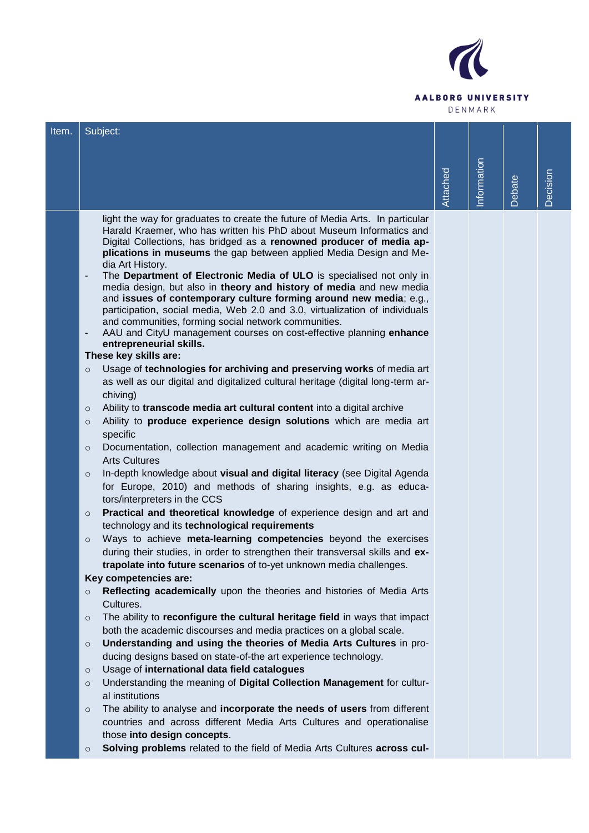

| Item. | Subject:                                                                                                                                                    |          |            |               |          |
|-------|-------------------------------------------------------------------------------------------------------------------------------------------------------------|----------|------------|---------------|----------|
|       |                                                                                                                                                             |          |            |               |          |
|       |                                                                                                                                                             |          |            |               |          |
|       |                                                                                                                                                             |          |            |               |          |
|       |                                                                                                                                                             | Attached | nformation | <b>Debate</b> | Decision |
|       | light the way for graduates to create the future of Media Arts. In particular                                                                               |          |            |               |          |
|       | Harald Kraemer, who has written his PhD about Museum Informatics and                                                                                        |          |            |               |          |
|       | Digital Collections, has bridged as a renowned producer of media ap-<br>plications in museums the gap between applied Media Design and Me-                  |          |            |               |          |
|       | dia Art History.                                                                                                                                            |          |            |               |          |
|       | The Department of Electronic Media of ULO is specialised not only in<br>$\overline{\phantom{a}}$                                                            |          |            |               |          |
|       | media design, but also in theory and history of media and new media<br>and issues of contemporary culture forming around new media; e.g.,                   |          |            |               |          |
|       | participation, social media, Web 2.0 and 3.0, virtualization of individuals                                                                                 |          |            |               |          |
|       | and communities, forming social network communities.                                                                                                        |          |            |               |          |
|       | AAU and CityU management courses on cost-effective planning enhance<br>$\overline{\phantom{a}}$                                                             |          |            |               |          |
|       | entrepreneurial skills.<br>These key skills are:                                                                                                            |          |            |               |          |
|       | Usage of technologies for archiving and preserving works of media art<br>$\circ$                                                                            |          |            |               |          |
|       | as well as our digital and digitalized cultural heritage (digital long-term ar-                                                                             |          |            |               |          |
|       | chiving)                                                                                                                                                    |          |            |               |          |
|       | Ability to transcode media art cultural content into a digital archive<br>$\circ$                                                                           |          |            |               |          |
|       | Ability to produce experience design solutions which are media art<br>$\circ$                                                                               |          |            |               |          |
|       | specific<br>Documentation, collection management and academic writing on Media<br>$\circ$                                                                   |          |            |               |          |
|       | <b>Arts Cultures</b>                                                                                                                                        |          |            |               |          |
|       | In-depth knowledge about visual and digital literacy (see Digital Agenda<br>$\circ$                                                                         |          |            |               |          |
|       | for Europe, 2010) and methods of sharing insights, e.g. as educa-                                                                                           |          |            |               |          |
|       | tors/interpreters in the CCS                                                                                                                                |          |            |               |          |
|       | Practical and theoretical knowledge of experience design and art and<br>$\circ$                                                                             |          |            |               |          |
|       | technology and its technological requirements                                                                                                               |          |            |               |          |
|       | Ways to achieve meta-learning competencies beyond the exercises<br>$\circ$<br>during their studies, in order to strengthen their transversal skills and ex- |          |            |               |          |
|       | trapolate into future scenarios of to-yet unknown media challenges.                                                                                         |          |            |               |          |
|       | Key competencies are:                                                                                                                                       |          |            |               |          |
|       | Reflecting academically upon the theories and histories of Media Arts<br>$\circ$                                                                            |          |            |               |          |
|       | Cultures.                                                                                                                                                   |          |            |               |          |
|       | The ability to reconfigure the cultural heritage field in ways that impact<br>$\circ$                                                                       |          |            |               |          |
|       | both the academic discourses and media practices on a global scale.<br>Understanding and using the theories of Media Arts Cultures in pro-                  |          |            |               |          |
|       | $\circ$<br>ducing designs based on state-of-the art experience technology.                                                                                  |          |            |               |          |
|       | Usage of international data field catalogues<br>$\circ$                                                                                                     |          |            |               |          |
|       | Understanding the meaning of Digital Collection Management for cultur-<br>$\circ$                                                                           |          |            |               |          |
|       | al institutions                                                                                                                                             |          |            |               |          |
|       | The ability to analyse and incorporate the needs of users from different<br>$\circ$                                                                         |          |            |               |          |
|       | countries and across different Media Arts Cultures and operationalise                                                                                       |          |            |               |          |
|       | those into design concepts.<br>Solving problems related to the field of Media Arts Cultures across cul-                                                     |          |            |               |          |
|       | $\circ$                                                                                                                                                     |          |            |               |          |
|       |                                                                                                                                                             |          |            |               |          |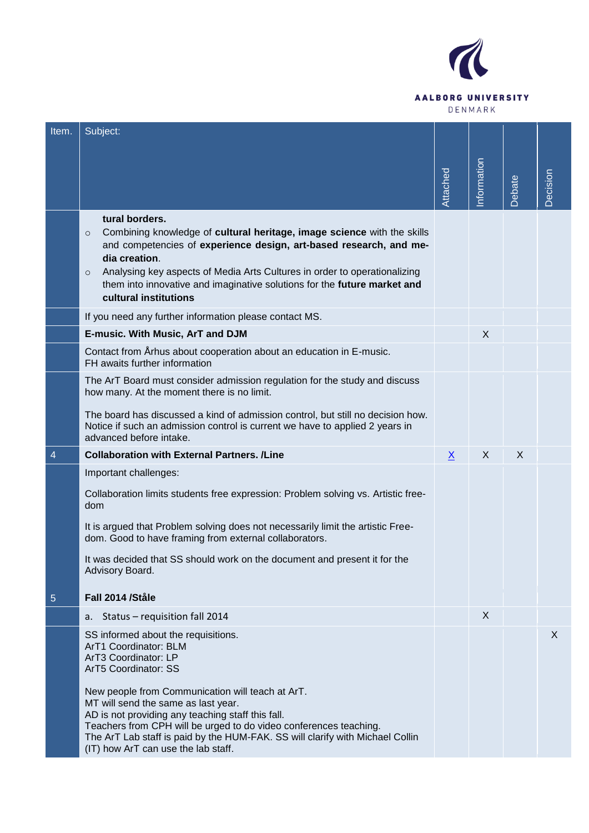

| Item.          | Subject:                                                                                                                                                                                                                                                                                                                                                                                 |          |             |       |          |
|----------------|------------------------------------------------------------------------------------------------------------------------------------------------------------------------------------------------------------------------------------------------------------------------------------------------------------------------------------------------------------------------------------------|----------|-------------|-------|----------|
|                |                                                                                                                                                                                                                                                                                                                                                                                          |          | Information |       |          |
|                |                                                                                                                                                                                                                                                                                                                                                                                          | Attached |             | ebate | Decision |
|                | tural borders.<br>Combining knowledge of cultural heritage, image science with the skills<br>$\circ$<br>and competencies of experience design, art-based research, and me-<br>dia creation.<br>Analysing key aspects of Media Arts Cultures in order to operationalizing<br>$\circ$<br>them into innovative and imaginative solutions for the future market and<br>cultural institutions |          |             |       |          |
|                | If you need any further information please contact MS.                                                                                                                                                                                                                                                                                                                                   |          |             |       |          |
|                | E-music. With Music, ArT and DJM                                                                                                                                                                                                                                                                                                                                                         |          | X           |       |          |
|                | Contact from Arhus about cooperation about an education in E-music.<br>FH awaits further information                                                                                                                                                                                                                                                                                     |          |             |       |          |
|                | The ArT Board must consider admission regulation for the study and discuss<br>how many. At the moment there is no limit.<br>The board has discussed a kind of admission control, but still no decision how.                                                                                                                                                                              |          |             |       |          |
|                | Notice if such an admission control is current we have to applied 2 years in<br>advanced before intake.                                                                                                                                                                                                                                                                                  |          |             |       |          |
| $\overline{4}$ | <b>Collaboration with External Partners. /Line</b>                                                                                                                                                                                                                                                                                                                                       | <u>x</u> | X           | X     |          |
|                | Important challenges:                                                                                                                                                                                                                                                                                                                                                                    |          |             |       |          |
|                | Collaboration limits students free expression: Problem solving vs. Artistic free-<br>dom                                                                                                                                                                                                                                                                                                 |          |             |       |          |
|                | It is argued that Problem solving does not necessarily limit the artistic Free-<br>dom. Good to have framing from external collaborators.                                                                                                                                                                                                                                                |          |             |       |          |
|                | It was decided that SS should work on the document and present it for the<br>Advisory Board.                                                                                                                                                                                                                                                                                             |          |             |       |          |
| 5              | Fall 2014 /Ståle                                                                                                                                                                                                                                                                                                                                                                         |          |             |       |          |
|                | Status - requisition fall 2014<br>a.                                                                                                                                                                                                                                                                                                                                                     |          | X           |       |          |
|                | SS informed about the requisitions.<br>ArT1 Coordinator: BLM<br>ArT3 Coordinator: LP<br>ArT5 Coordinator: SS                                                                                                                                                                                                                                                                             |          |             |       | X        |
|                | New people from Communication will teach at ArT.<br>MT will send the same as last year.<br>AD is not providing any teaching staff this fall.<br>Teachers from CPH will be urged to do video conferences teaching.<br>The ArT Lab staff is paid by the HUM-FAK. SS will clarify with Michael Collin<br>(IT) how ArT can use the lab staff.                                                |          |             |       |          |